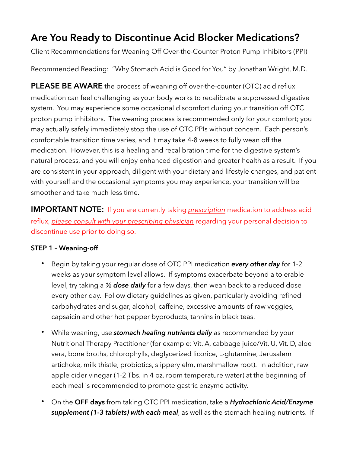## **Are You Ready to Discontinue Acid Blocker Medications?**

Client Recommendations for Weaning Off Over-the-Counter Proton Pump Inhibitors (PPI)

Recommended Reading: "Why Stomach Acid is Good for You" by Jonathan Wright, M.D.

**PLEASE BE AWARE** the process of weaning off over-the-counter (OTC) acid reflux medication can feel challenging as your body works to recalibrate a suppressed digestive system. You may experience some occasional discomfort during your transition off OTC proton pump inhibitors. The weaning process is recommended only for your comfort; you may actually safely immediately stop the use of OTC PPIs without concern. Each person's comfortable transition time varies, and it may take 4-8 weeks to fully wean off the medication. However, this is a healing and recalibration time for the digestive system's natural process, and you will enjoy enhanced digestion and greater health as a result. If you are consistent in your approach, diligent with your dietary and lifestyle changes, and patient with yourself and the occasional symptoms you may experience, your transition will be smoother and take much less time.

**IMPORTANT NOTE:** If you are currently taking *prescription* medication to address acid reflux, *please consult with your prescribing physician* regarding your personal decision to discontinue use prior to doing so.

## **STEP 1 – Weaning-off**

- Begin by taking your regular dose of OTC PPI medication *every other day* for 1-2 weeks as your symptom level allows. If symptoms exacerbate beyond a tolerable level, try taking a *½ dose daily* for a few days, then wean back to a reduced dose every other day. Follow dietary guidelines as given, particularly avoiding refined carbohydrates and sugar, alcohol, caffeine, excessive amounts of raw veggies, capsaicin and other hot pepper byproducts, tannins in black teas.
- While weaning, use *stomach healing nutrients daily* as recommended by your Nutritional Therapy Practitioner (for example: Vit. A, cabbage juice/Vit. U, Vit. D, aloe vera, bone broths, chlorophylls, deglycerized licorice, L-glutamine, Jerusalem artichoke, milk thistle, probiotics, slippery elm, marshmallow root). In addition, raw apple cider vinegar (1-2 Tbs. in 4 oz. room temperature water) at the beginning of each meal is recommended to promote gastric enzyme activity.
- On the **OFF days** from taking OTC PPI medication, take a *Hydrochloric Acid/Enzyme supplement (1-3 tablets) with each meal*, as well as the stomach healing nutrients. If